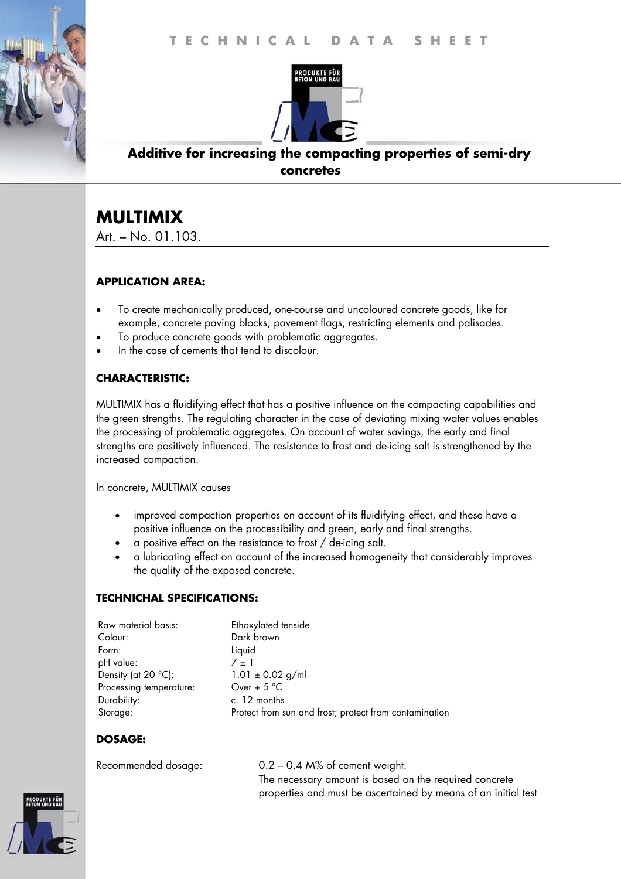

## **Additive for increasing the compacting properties of semi-dry concretes**

# **MULTIMIX**

Art. – No. 01.103.

#### **APPLICATION AREA:**

- To create mechanically produced, one-course and uncoloured concrete goods, like for example, concrete paving blocks, pavement flags, restricting elements and palisades.
- To produce concrete goods with problematic aggregates.
- In the case of cements that tend to discolour.

### **CHARACTERISTIC:**

MULTIMIX has a fluidifying effect that has a positive influence on the compacting capabilities and the green strengths. The regulating character in the case of deviating mixing water values enables the processing of problematic aggregates. On account of water savings, the early and final strengths are positively influenced. The resistance to frost and de-icing salt is strengthened by the increased compaction.

In concrete, MULTIMIX causes

- improved compaction properties on account of its fluidifying effect, and these have a positive influence on the processibility and green, early and final strengths.
- a positive effect on the resistance to frost / de-icing salt.
- a lubricating effect on account of the increased homogeneity that considerably improves the quality of the exposed concrete.

#### **TECHNICHAL SPECIFICATIONS:**

| Ethoxylated tenside                                    |
|--------------------------------------------------------|
| Dark brown                                             |
| Liquid                                                 |
| $7 + 1$                                                |
| $1.01 \pm 0.02$ g/ml                                   |
| Over + $5^{\circ}$ C                                   |
| c. 12 months                                           |
| Protect from sun and frost; protect from contamination |
|                                                        |

### **DOSAGE:**



Recommended dosage: 0.2 – 0.4 M% of cement weight. The necessary amount is based on the required concrete properties and must be ascertained by means of an initial test